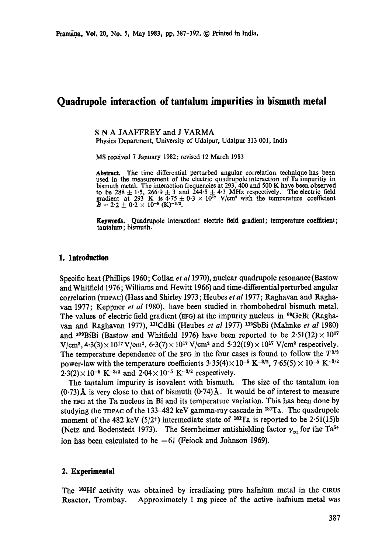# **Quadrupole interaction of tantalum impurities in bismuth metal**

S N A JAAFFREY and J VARMA

Physics Department, University of Udaipur, Udaipur 313 001, India

MS received 7 January 1982; revised 12 March 1983

Abstract. The time differential perturbed angular correlation technique has been used in the measurement of the electric quadrupole interaction of Ta impuritiy in bismuth metal. The interaction frequencies at 293,400 and 500 K have been observed to be 288  $\pm$  1.5, 266.9  $\pm$  3 and 244.5  $\pm$  4.3 MHz respectively. The electric field gradient at 293 K is  $4.75 \pm 0.3 \times 10^{17}$  V/cm<sup>2</sup> with the temperature coefficient  $\bar{B} = 2.2 \pm 0.2 \times 10^{-5}$  (K)<sup>-3/2</sup>.

**Keywords.** Quadrupole interaction', electric field gradient; temperature coefficient; **tantalum;** bismuth.

#### **1. Introduction**

Specific heat (Phillips 1960; Collan *et a11970),* nuclear quadrupole resonance (Bastow and Whitfield 1976; Williams and Hewitt 1966) and time-differentialperturbed angular correlation (TDPAC) (Haas and Shirley 1973; Heubes *et al* 1977; Raghavan and Raghavan 1977; Keppner *et al* 1980), have been studied in rhombohedral bismuth metal. The values of electric field gradient (EFG) at the impurity nucleus in  $69\text{GeV}$  (Raghavan and Raghavan 1977), nlCdBi (Heubes *et al* 1977) n2SbBi (Malmke *et al* 1980) and <sup>209</sup>BiBi (Bastow and Whitfield 1976) have been reported to be  $2.51(12)\times 10^{17}$  $V/cm^2$ ,  $4.3(3) \times 10^{17} V/cm^2$ ,  $6.3(7) \times 10^{17} V/cm^2$  and  $5.32(19) \times 10^{17} V/cm^2$  respectively. The temperature dependence of the EFG in the four cases is found to follow the  $T^{3/2}$ power-law with the temperature coefficients  $3.35(4) \times 10^{-5}$  K<sup>-3/2</sup>,  $7.65(5) \times 10^{-5}$  K<sup>-3/2</sup>  $2.3(2) \times 10^{-5}$  K<sup>-3/2</sup> and  $2.04 \times 10^{-5}$  K<sup>-3/2</sup> respectively.

The tantalum impurity is isovalent with bismuth. The size of the tantalum ion  $(0.73)$ Å is very close to that of bismuth  $(0.74)$ Å. It would be of interest to measure the EFG at the Ta nucleus in Bi and its temperature variation. This has been done by studying the TDPAC of the 133-482 keV gamma-ray cascade in  $181$ Ta. The quadrupole moment of the 482 keV (5/2+) intermediate state of <sup>181</sup>Ta is reported to be 2.51(15)b (Netz and Bodenstedt 1973). The Sternheimer antishielding factor  $\gamma_{\infty}$  for the Ta<sup>5+</sup> ion has been calculated to be  $-61$  (Feiock and Johnson 1969).

### **2.** Experimental

The <sup>181</sup>Hf activity was obtained by irradiating pure hafnium metal in the CIRUS Reactor, Trombay. Approximately 1 mg piece of the active hafnium metal was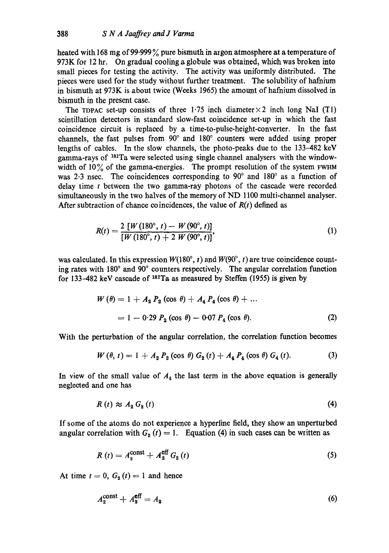heated with 168 mg of 99.999 % pure bismuth in argon atmosphere at a temperature of 973K for 12 hr. On gradual cooling a globule was obtained, which was broken into small pieces for testing the activity. The activity was uniformly distributed. The pieces were used for the study without further treatment. The solubility of hafnium in bismuth at 973K is about twice (Weeks 1965) the amount of hafnium dissolved in bismuth in the present case.

The TOPAC set-up consists of three 1.75 inch diameter  $\times$  2 inch long NaI (T1) scintillation detectors in standard slow-fast coincidence set-up in which the fast coincidence circuit is replaced by a time-to-pulse-height-converter. In the fast channels, the fast pulses from  $90^{\circ}$  and  $180^{\circ}$  counters were added using proper lengths of cables. In the slow channels, the photo-peaks due to the 133-482 keY gamma-rays of <sup>181</sup>Ta were selected using single channel analysers with the windowwidth of  $10\%$  of the gamma-energies. The prompt resolution of the system FWHM was 2.3 nsec. The coincidences corresponding to  $90^{\circ}$  and  $180^{\circ}$  as a function of delay time t between the two gamma-ray photons of the cascade were recorded simultaneously in the two halves of the memory of ND 1100 multi-channel analyser. After subtraction of chance coincidences, the value of *R(t)* defined as

$$
R(t) = \frac{2 [W(180^\circ, t) - W(90^\circ, t)]}{[W(180^\circ, t) + 2 W(90^\circ, t)]},
$$
\n(1)

was calculated. In this expression  $W(180^\circ, t)$  and  $W(90^\circ, t)$  are true coincidence counting rates with 180° and 90° counters respectively. The angular correlation function for 133-482 keV cascade of  $181$ Ta as measured by Steffen (1955) is given by

$$
W (\theta) = 1 + A_2 P_2 (\cos \theta) + A_4 P_4 (\cos \theta) + ...
$$
  
= 1 - 0.29 P<sub>2</sub> (cos \theta) - 0.07 P<sub>4</sub> (cos \theta). (2)

With the perturbation of the angular correlation, the correlation function becomes

$$
W(\theta, t) = 1 + A_2 P_2(\cos \theta) G_2(t) + A_4 P_4(\cos \theta) G_4(t).
$$
 (3)

In view of the small value of  $A_4$  the last term in the above equation is generally neglected and one has

$$
R(t) \approx A_2 G_2(t) \tag{4}
$$

If some of the atoms do not experience a hyperfine field, they show an unperturbed angular correlation with  $G_2(t) = 1$ . Equation (4) in such cases can be written as

$$
R(t) = A_2^{\text{const}} + A_2^{\text{eff}} G_2(t)
$$
 (5)

At time  $t = 0$ ,  $G_2(t) = 1$  and hence

$$
A_2^{\text{const}} + A_2^{\text{eff}} = A_2 \tag{6}
$$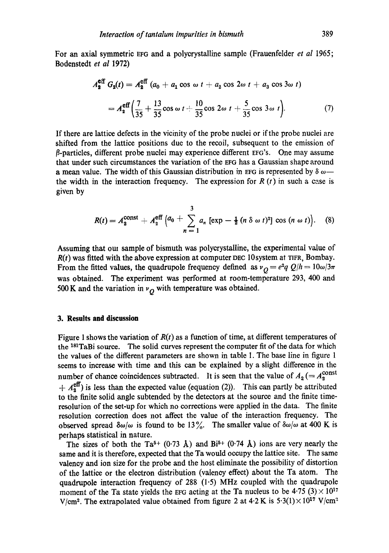For an axial symmetric EFG and a polycrystalline sample (Frauenfelder *et al* 1965; Bodenstedt *et al* 1972)

$$
A_2^{\text{eff}} G_2(t) = A_2^{\text{eff}} (a_0 + a_1 \cos \omega t + a_2 \cos 2\omega t + a_3 \cos 3\omega t)
$$
  
=  $A_2^{\text{eff}} \left( \frac{7}{35} + \frac{13}{35} \cos \omega t + \frac{10}{35} \cos 2\omega t + \frac{5}{35} \cos 3\omega t \right).$  (7)

If there are lattice defects in the vicinity of the probe nuclei or if the probe nuclei are shifted from the lattice positions due to the recoil, subsequent to the emission of  $\beta$ -particles, different probe nuclei may experience different EFG's. One may assume that under such circumstances the variation of the EFG has a Gaussian shape around a mean value. The width of this Gaussian distribution in EFG is represented by  $\delta \omega$  the width in the interaction frequency. The expression for  $R(t)$  in such a case is given by

$$
R(t) = A_2^{\text{const}} + A_2^{\text{eff}} \left( a_0 + \sum_{n=1}^3 a_n \left[ \exp - \frac{1}{2} (n \delta \omega t)^2 \right] \cos (n \omega t) \right). \quad (8)
$$

Assuming that out sample of bismuth was polyerystalline, the experimental value of  $R(t)$  was fitted with the above expression at computer DEC 10system at TIFR, Bombay. From the fitted values, the quadrupole frequency defined as  $v_Q = e^2 q Q/h = 10\omega/3\pi$ was obtained. The experiment was performed at room-temperature 293, 400 and 500 K and the variation in  $v<sub>O</sub>$  with temperature was obtained.

## **3. Results and discussion**

Figure 1 shows the variation of *R(t)* as a function of time, at different temperatures of the <sup>181</sup>TaBi source. The solid curves represent the computer fit of the data for which the values of the different parameters are shown in table 1. The base line in figure 1 seems to increase with time and this can be explained by a slight difference in the number of chance coincidences subtracted. It is seen that the value of  $A_2 (= A_2^{\text{const}})$  $+A_2^{\text{eff}}$ ) is less than the expected value (equation (2)). This can partly be attributed to the finite solid angle subtended by the detectors at the source and the finite timeresolution of the set-up for which no corrections were applied in the data. The finite resolution correction does not affect the value of the interaction frequency. The observed spread  $\delta\omega/\omega$  is found to be 13%. The smaller value of  $\delta\omega/\omega$  at 400 K is perhaps statistical in nature.

The sizes of both the Ta<sup>5+</sup> (0.73 Å) and Bi<sup>5+</sup> (0.74 Å) ions are very nearly the same and it is therefore, expected that the Ta would occupy the lattice site. The same valency and ion size for the probe and the host eliminate the possibility of distortion of the lattice or the electron distribution (valency effect) about the Ta atom. The quadrupole interaction frequency of 288  $(1.5)$  MHz coupled with the quadrupole moment of the Ta state yields the EFG acting at the Ta nucleus to be  $4.75$  (3)  $\times$  10<sup>17</sup> V/cm<sup>2</sup>. The extrapolated value obtained from figure 2 at 4.2 K is  $5.3(1) \times 10^{17}$  V/cm<sup>2</sup>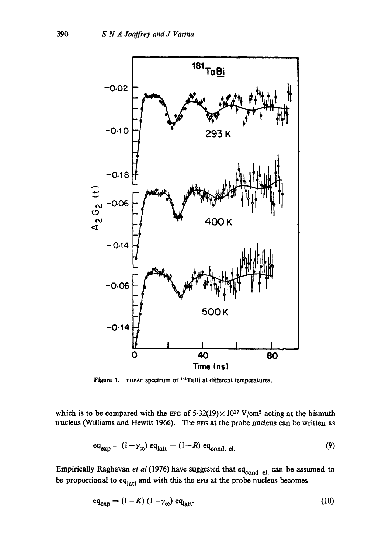

Figure 1. TDPAC spectrum of  $^{181}$ TaBi at different temperatures.

which is to be compared with the EFG of  $5.32(19) \times 10^{17}$  V/cm<sup>2</sup> acting at the bismuth nucleus (Williams and Hewitt 1966). The EFG at the probe nucleus can be written as

$$
eq_{exp} = (1 - \gamma_{\infty}) eq_{latt} + (1 - R) eq_{cond. el.}
$$
 (9)

Empirically Raghavan et al (1976) have suggested that eq<sub>cond, el.</sub> can be assumed to be proportional to  $eq<sub>latt</sub>$  and with this the EFG at the probe nucleus becomes

$$
eq_{exp} = (1 - K) (1 - \gamma_{\infty}) eq_{latt}
$$
 (10)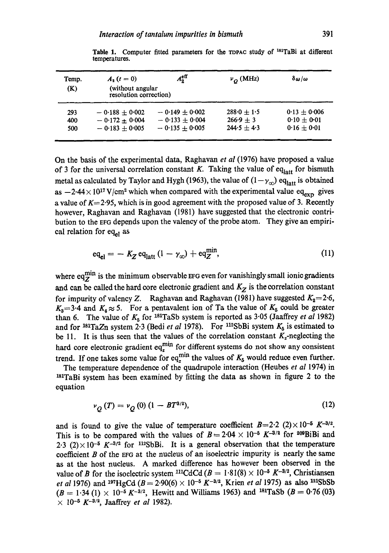| Temp.<br>(K) | $A_{2} (t = 0)$<br>(without angular<br>resolution correction) | $A_2^{\text{eff}}$ | $v_{\Omega}$ (MHz) | $\delta \omega / \omega$ |
|--------------|---------------------------------------------------------------|--------------------|--------------------|--------------------------|
| 293          | $-0.188 + 0.002$                                              | $-0.149 + 0.002$   | $288.0 + 1.5$      | $0.13 \pm 0.006$         |
| 400          | $-0.172 \pm 0.004$                                            | $-0.133 + 0.004$   | $266.9 + 3$        | $0.10 \pm 0.01$          |
| 500          | $-0.183 + 0.005$                                              | $-0.135 + 0.005$   | $244.5 + 4.3$      | $0.16 \pm 0.01$          |

Table 1. Computer fitted parameters for the TDPAC study of <sup>181</sup>TaBi at different temperatures.

On the basis of the experimental data, Raghavan *et al* (1976) have proposed a value of 3 for the universal correlation constant K. Taking the value of eq<sub>latt</sub> for bismuth metal as calculated by Taylor and Hygh (1963), the value of  $(1-\gamma_{\infty})$  eq<sub>latt</sub> is obtained as  $-2.44 \times 10^{17}$  V/cm<sup>2</sup> which when compared with the experimental value eq<sub>exp</sub> gives a value of  $K=2.95$ , which is in good agreement with the proposed value of 3. Recently however, Raghavan and Raghavan (1981) have suggested that the electronic contribution to the EFG depends upon the valency of the probe atom. They give an empirical relation for  $eq_{el}$  as

$$
eq_{el} = -K_Z eq_{latt} (1 - \gamma_{\infty}) + eq_Z^{min}, \qquad (11)
$$

where  $eq_Z^{min}$  is the minimum observable EFG even for vanishingly small ionic gradients and can be called the hard core electronic gradient and  $K_Z$  is the correlation constant for impurity of valency Z. Raghavan and Raghavan (1981) have suggested  $K_2=2.6$ ,  $K_3 = 3.4$  and  $K_4 \approx 5$ . For a pentavalent ion of Ta the value of  $K_5$  could be greater than 6. The value of  $K_5$  for <sup>181</sup>TaSb system is reported as 3.05 (Jaaffrey *et al* 1982) and for <sup>181</sup>TaZn system 2.3 (Bedi *et al* 1978). For <sup>112</sup>SbBi system  $K_5$  is estimated to be 11. It is thus seen that the values of the correlation constant  $K_z$ -neglecting the hard core electronic gradient eq<sup>min</sup> for different systems do not show any consistent trend. If one takes some value for eq<sup>min</sup> the values of  $K_5$  would reduce even further.

The temperature dependence of the quadrupole interaction (Heubes *et al* 1974) in  $181$ TaBi system has been examined by fitting the data as shown in figure 2 to the equation

$$
\nu_{O}(T) = \nu_{O}(0) \left(1 - BT^{3/2}\right),\tag{12}
$$

and is found to give the value of temperature coefficient  $B=2.2$  (2) $\times$  10<sup>-5</sup> K<sup>-3/2</sup>. This is to be compared with the values of  $B=2.04 \times 10^{-5}$  K<sup>-3/2</sup> for <sup>209</sup>BiBi and 2.3 (2) $\times$ 10<sup>-5</sup> K<sup>-3/2</sup> for <sup>112</sup>SbBi. It is a general observation that the temperature coefficient  $B$  of the  $EFG$  at the nucleus of an isoelectric impurity is nearly the same as at the host nucleus. A marked difference has however been observed in the value of B for the isoelectric system <sup>111</sup>CdCd ( $B = 1.81(8) \times 10^{-5} K^{-3/2}$ , Christiansen *et al* 1976) and <sup>197</sup>HgCd ( $B = 2.90(6) \times 10^{-5} K^{-3/2}$ , Krien *et al* 1975) as also <sup>121</sup>SbSb  $(B = 1.34 \text{ (1)} \times 10^{-5} K^{-3/2}$ , Hewitt and Williams 1963) and <sup>181</sup>TaSb ( $B = 0.76 \text{ (03)}$  $\times$  10<sup>-5</sup> K<sup>-3/2</sup>, Jaaffrey *et al* 1982).